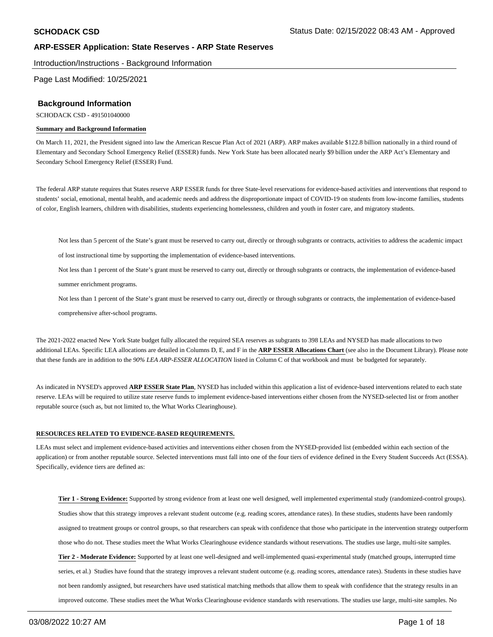Introduction/Instructions - Background Information

Page Last Modified: 10/25/2021

### **Background Information**

SCHODACK CSD - 491501040000

#### **Summary and Background Information**

On March 11, 2021, the President signed into law the American Rescue Plan Act of 2021 (ARP). ARP makes available \$122.8 billion nationally in a third round of Elementary and Secondary School Emergency Relief (ESSER) funds. New York State has been allocated nearly \$9 billion under the ARP Act's Elementary and Secondary School Emergency Relief (ESSER) Fund.

The federal ARP statute requires that States reserve ARP ESSER funds for three State-level reservations for evidence-based activities and interventions that respond to students' social, emotional, mental health, and academic needs and address the disproportionate impact of COVID-19 on students from low-income families, students of color, English learners, children with disabilities, students experiencing homelessness, children and youth in foster care, and migratory students.

Not less than 5 percent of the State's grant must be reserved to carry out, directly or through subgrants or contracts, activities to address the academic impact

of lost instructional time by supporting the implementation of evidence-based interventions.

Not less than 1 percent of the State's grant must be reserved to carry out, directly or through subgrants or contracts, the implementation of evidence-based

summer enrichment programs.

Not less than 1 percent of the State's grant must be reserved to carry out, directly or through subgrants or contracts, the implementation of evidence-based

comprehensive after-school programs.

The 2021-2022 enacted New York State budget fully allocated the required SEA reserves as subgrants to 398 LEAs and NYSED has made allocations to two additional LEAs. Specific LEA allocations are detailed in Columns D, E, and F in the **ARP ESSER Allocations Chart** (see also in the Document Library). Please note that these funds are in addition to the *90% LEA ARP-ESSER ALLOCATION* listed in Column C of that workbook and must be budgeted for separately.

As indicated in NYSED's approved **ARP ESSER State Plan**, NYSED has included within this application a list of evidence-based interventions related to each state reserve. LEAs will be required to utilize state reserve funds to implement evidence-based interventions either chosen from the NYSED-selected list or from another reputable source (such as, but not limited to, the What Works Clearinghouse).

#### **RESOURCES RELATED TO EVIDENCE-BASED REQUIREMENTS.**

LEAs must select and implement evidence-based activities and interventions either chosen from the NYSED-provided list (embedded within each section of the application) or from another reputable source. Selected interventions must fall into one of the four tiers of evidence defined in the Every Student Succeeds Act (ESSA). Specifically, evidence tiers are defined as:

**Tier 1 - Strong Evidence:** Supported by strong evidence from at least one well designed, well implemented experimental study (randomized-control groups). Studies show that this strategy improves a relevant student outcome (e.g. reading scores, attendance rates). In these studies, students have been randomly assigned to treatment groups or control groups, so that researchers can speak with confidence that those who participate in the intervention strategy outperform those who do not. These studies meet the What Works Clearinghouse evidence standards without reservations. The studies use large, multi-site samples. **Tier 2 - Moderate Evidence:** Supported by at least one well-designed and well-implemented quasi-experimental study (matched groups, interrupted time series, et al.) Studies have found that the strategy improves a relevant student outcome (e.g. reading scores, attendance rates). Students in these studies have not been randomly assigned, but researchers have used statistical matching methods that allow them to speak with confidence that the strategy results in an improved outcome. These studies meet the What Works Clearinghouse evidence standards with reservations. The studies use large, multi-site samples. No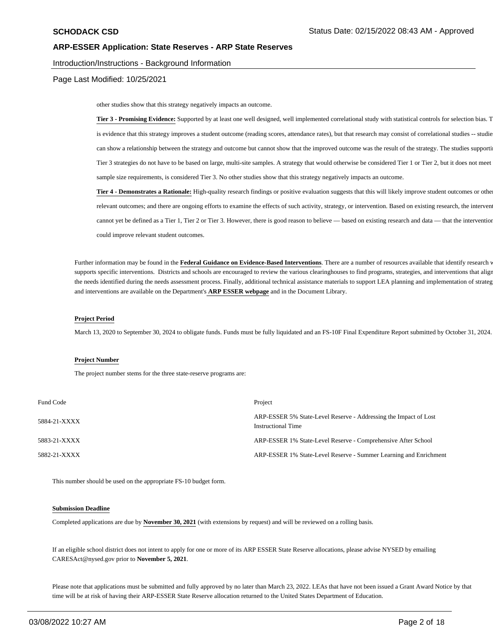#### Introduction/Instructions - Background Information

Page Last Modified: 10/25/2021

other studies show that this strategy negatively impacts an outcome.

Tier 3 - Promising Evidence: Supported by at least one well designed, well implemented correlational study with statistical controls for selection bias. T is evidence that this strategy improves a student outcome (reading scores, attendance rates), but that research may consist of correlational studies -- studie can show a relationship between the strategy and outcome but cannot show that the improved outcome was the result of the strategy. The studies supporti Tier 3 strategies do not have to be based on large, multi-site samples. A strategy that would otherwise be considered Tier 1 or Tier 2, but it does not meet sample size requirements, is considered Tier 3. No other studies show that this strategy negatively impacts an outcome.

**Tier 4 - Demonstrates a Rationale:** High-quality research findings or positive evaluation suggests that this will likely improve student outcomes or other relevant outcomes; and there are ongoing efforts to examine the effects of such activity, strategy, or intervention. Based on existing research, the intervent cannot yet be defined as a Tier 1, Tier 2 or Tier 3. However, there is good reason to believe — based on existing research and data — that the intervention could improve relevant student outcomes.

Further information may be found in the Federal Guidance on Evidence-Based Interventions. There are a number of resources available that identify research v supports specific interventions. Districts and schools are encouraged to review the various clearinghouses to find programs, strategies, and interventions that align the needs identified during the needs assessment process. Finally, additional technical assistance materials to support LEA planning and implementation of strateg and interventions are available on the Department's **ARP ESSER webpage** and in the Document Library.

#### **Project Period**

March 13, 2020 to September 30, 2024 to obligate funds. Funds must be fully liquidated and an FS-10F Final Expenditure Report submitted by October 31, 2024.

#### **Project Number**

The project number stems for the three state-reserve programs are:

| Fund Code    | Project                                                                                       |
|--------------|-----------------------------------------------------------------------------------------------|
| 5884-21-XXXX | ARP-ESSER 5% State-Level Reserve - Addressing the Impact of Lost<br><b>Instructional Time</b> |
| 5883-21-XXXX | ARP-ESSER 1% State-Level Reserve - Comprehensive After School                                 |
| 5882-21-XXXX | ARP-ESSER 1% State-Level Reserve - Summer Learning and Enrichment                             |

This number should be used on the appropriate FS-10 budget form.

#### **Submission Deadline**

Completed applications are due by **November 30, 2021** (with extensions by request) and will be reviewed on a rolling basis.

If an eligible school district does not intent to apply for one or more of its ARP ESSER State Reserve allocations, please advise NYSED by emailing [CARESAct@nysed.gov](mailto:CARESAct@nysed.gov) prior to **November 5, 2021**.

Please note that applications must be submitted and fully approved by no later than March 23, 2022. LEAs that have not been issued a Grant Award Notice by that time will be at risk of having their ARP-ESSER State Reserve allocation returned to the United States Department of Education.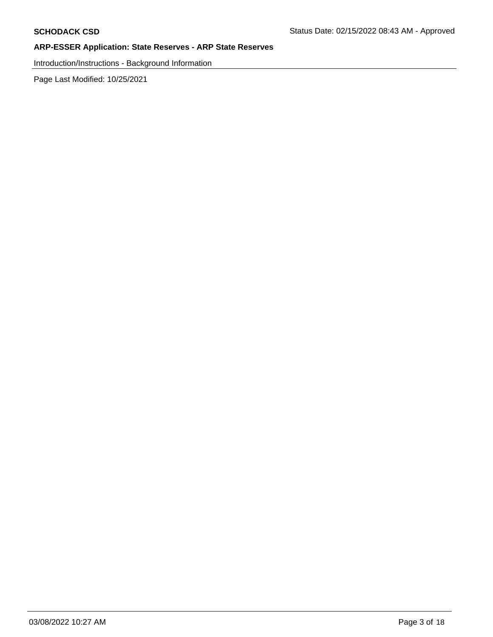Introduction/Instructions - Background Information

Page Last Modified: 10/25/2021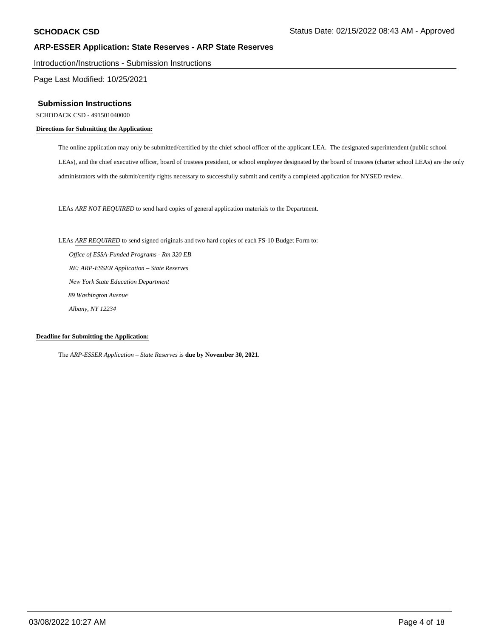Introduction/Instructions - Submission Instructions

Page Last Modified: 10/25/2021

#### **Submission Instructions**

SCHODACK CSD - 491501040000

#### **Directions for Submitting the Application:**

The online application may only be submitted/certified by the chief school officer of the applicant LEA. The designated superintendent (public school LEAs), and the chief executive officer, board of trustees president, or school employee designated by the board of trustees (charter school LEAs) are the only administrators with the submit/certify rights necessary to successfully submit and certify a completed application for NYSED review.

LEAs *ARE NOT REQUIRED* to send hard copies of general application materials to the Department.

LEAs *ARE REQUIRED* to send signed originals and two hard copies of each FS-10 Budget Form to:

 *Office of ESSA-Funded Programs - Rm 320 EB RE: ARP-ESSER Application – State Reserves New York State Education Department 89 Washington Avenue Albany, NY 12234* 

### **Deadline for Submitting the Application:**

The *ARP-ESSER Application – State Reserves* is **due by November 30, 2021**.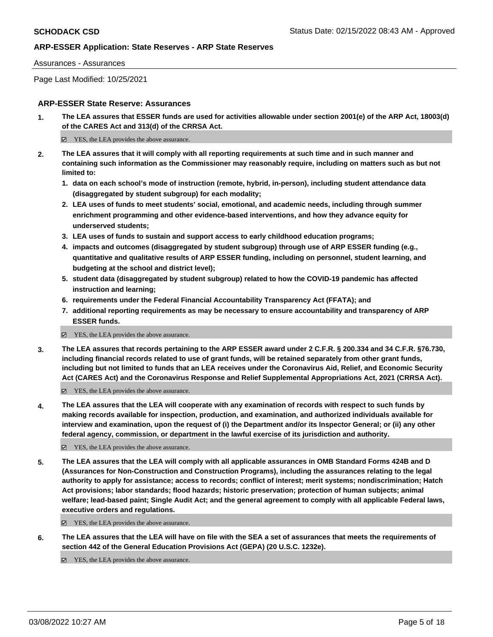#### Assurances - Assurances

Page Last Modified: 10/25/2021

### **ARP-ESSER State Reserve: Assurances**

**1. The LEA assures that ESSER funds are used for activities allowable under section 2001(e) of the ARP Act, 18003(d) of the CARES Act and 313(d) of the CRRSA Act.** 

 $\Xi$  YES, the LEA provides the above assurance.

- **2. The LEA assures that it will comply with all reporting requirements at such time and in such manner and containing such information as the Commissioner may reasonably require, including on matters such as but not limited to:** 
	- **1. data on each school's mode of instruction (remote, hybrid, in-person), including student attendance data (disaggregated by student subgroup) for each modality;**
	- **2. LEA uses of funds to meet students' social, emotional, and academic needs, including through summer enrichment programming and other evidence-based interventions, and how they advance equity for underserved students;**
	- **3. LEA uses of funds to sustain and support access to early childhood education programs;**
	- **4. impacts and outcomes (disaggregated by student subgroup) through use of ARP ESSER funding (e.g., quantitative and qualitative results of ARP ESSER funding, including on personnel, student learning, and budgeting at the school and district level);**
	- **5. student data (disaggregated by student subgroup) related to how the COVID-19 pandemic has affected instruction and learning;**
	- **6. requirements under the Federal Financial Accountability Transparency Act (FFATA); and**
	- **7. additional reporting requirements as may be necessary to ensure accountability and transparency of ARP ESSER funds.**
	- YES, the LEA provides the above assurance.
- **3. The LEA assures that records pertaining to the ARP ESSER award under 2 C.F.R. § 200.334 and 34 C.F.R. §76.730, including financial records related to use of grant funds, will be retained separately from other grant funds, including but not limited to funds that an LEA receives under the Coronavirus Aid, Relief, and Economic Security Act (CARES Act) and the Coronavirus Response and Relief Supplemental Appropriations Act, 2021 (CRRSA Act).**

YES, the LEA provides the above assurance.

**4. The LEA assures that the LEA will cooperate with any examination of records with respect to such funds by making records available for inspection, production, and examination, and authorized individuals available for interview and examination, upon the request of (i) the Department and/or its Inspector General; or (ii) any other federal agency, commission, or department in the lawful exercise of its jurisdiction and authority.** 

YES, the LEA provides the above assurance.

**5. The LEA assures that the LEA will comply with all applicable assurances in OMB Standard Forms 424B and D (Assurances for Non-Construction and Construction Programs), including the assurances relating to the legal authority to apply for assistance; access to records; conflict of interest; merit systems; nondiscrimination; Hatch Act provisions; labor standards; flood hazards; historic preservation; protection of human subjects; animal welfare; lead-based paint; Single Audit Act; and the general agreement to comply with all applicable Federal laws, executive orders and regulations.** 

■ YES, the LEA provides the above assurance.

**6. The LEA assures that the LEA will have on file with the SEA a set of assurances that meets the requirements of section 442 of the General Education Provisions Act (GEPA) (20 U.S.C. 1232e).** 

 $\Box$  YES, the LEA provides the above assurance.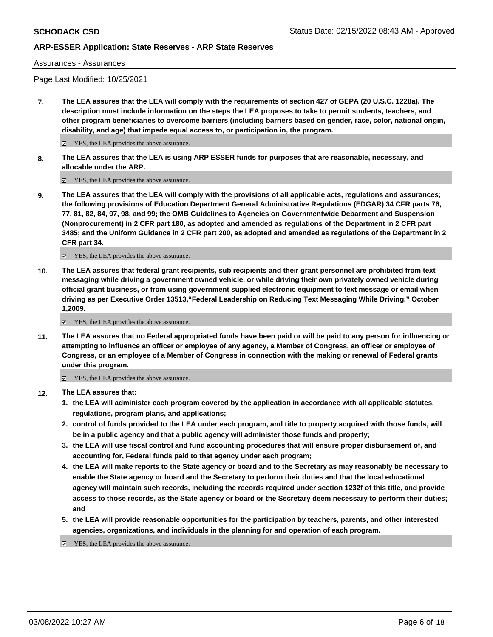Assurances - Assurances

Page Last Modified: 10/25/2021

**7. The LEA assures that the LEA will comply with the requirements of section 427 of GEPA (20 U.S.C. 1228a). The description must include information on the steps the LEA proposes to take to permit students, teachers, and other program beneficiaries to overcome barriers (including barriers based on gender, race, color, national origin, disability, and age) that impede equal access to, or participation in, the program.** 

■ YES, the LEA provides the above assurance.

**8. The LEA assures that the LEA is using ARP ESSER funds for purposes that are reasonable, necessary, and allocable under the ARP.** 

■ YES, the LEA provides the above assurance.

**9. The LEA assures that the LEA will comply with the provisions of all applicable acts, regulations and assurances; the following provisions of Education Department General Administrative Regulations (EDGAR) 34 CFR parts 76, 77, 81, 82, 84, 97, 98, and 99; the OMB Guidelines to Agencies on Governmentwide Debarment and Suspension (Nonprocurement) in 2 CFR part 180, as adopted and amended as regulations of the Department in 2 CFR part 3485; and the Uniform Guidance in 2 CFR part 200, as adopted and amended as regulations of the Department in 2 CFR part 34.** 

YES, the LEA provides the above assurance.

**10. The LEA assures that federal grant recipients, sub recipients and their grant personnel are prohibited from text messaging while driving a government owned vehicle, or while driving their own privately owned vehicle during official grant business, or from using government supplied electronic equipment to text message or email when driving as per Executive Order 13513,"Federal Leadership on Reducing Text Messaging While Driving," October 1,2009.** 

YES, the LEA provides the above assurance.

**11. The LEA assures that no Federal appropriated funds have been paid or will be paid to any person for influencing or attempting to influence an officer or employee of any agency, a Member of Congress, an officer or employee of Congress, or an employee of a Member of Congress in connection with the making or renewal of Federal grants under this program.** 

YES, the LEA provides the above assurance.

**12. The LEA assures that:** 

- **1. the LEA will administer each program covered by the application in accordance with all applicable statutes, regulations, program plans, and applications;**
- **2. control of funds provided to the LEA under each program, and title to property acquired with those funds, will be in a public agency and that a public agency will administer those funds and property;**
- **3. the LEA will use fiscal control and fund accounting procedures that will ensure proper disbursement of, and accounting for, Federal funds paid to that agency under each program;**
- **4. the LEA will make reports to the State agency or board and to the Secretary as may reasonably be necessary to enable the State agency or board and the Secretary to perform their duties and that the local educational agency will maintain such records, including the records required under section 1232f of this title, and provide access to those records, as the State agency or board or the Secretary deem necessary to perform their duties; and**
- **5. the LEA will provide reasonable opportunities for the participation by teachers, parents, and other interested agencies, organizations, and individuals in the planning for and operation of each program.**

YES, the LEA provides the above assurance.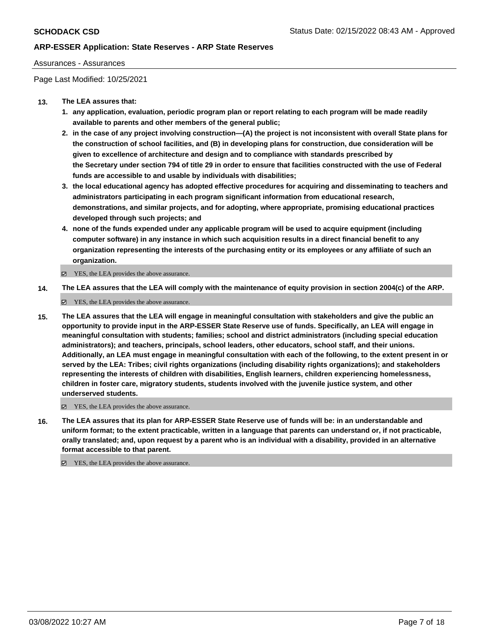### Assurances - Assurances

Page Last Modified: 10/25/2021

### **13. The LEA assures that:**

- **1. any application, evaluation, periodic program plan or report relating to each program will be made readily available to parents and other members of the general public;**
- **2. in the case of any project involving construction—(A) the project is not inconsistent with overall State plans for the construction of school facilities, and (B) in developing plans for construction, due consideration will be given to excellence of architecture and design and to compliance with standards prescribed by the Secretary under section 794 of title 29 in order to ensure that facilities constructed with the use of Federal funds are accessible to and usable by individuals with disabilities;**
- **3. the local educational agency has adopted effective procedures for acquiring and disseminating to teachers and administrators participating in each program significant information from educational research, demonstrations, and similar projects, and for adopting, where appropriate, promising educational practices developed through such projects; and**
- **4. none of the funds expended under any applicable program will be used to acquire equipment (including computer software) in any instance in which such acquisition results in a direct financial benefit to any organization representing the interests of the purchasing entity or its employees or any affiliate of such an organization.**

 $\Xi$  YES, the LEA provides the above assurance.

**14. The LEA assures that the LEA will comply with the maintenance of equity provision in section 2004(c) of the ARP.** 

YES, the LEA provides the above assurance.

**15. The LEA assures that the LEA will engage in meaningful consultation with stakeholders and give the public an opportunity to provide input in the ARP-ESSER State Reserve use of funds. Specifically, an LEA will engage in meaningful consultation with students; families; school and district administrators (including special education administrators); and teachers, principals, school leaders, other educators, school staff, and their unions. Additionally, an LEA must engage in meaningful consultation with each of the following, to the extent present in or served by the LEA: Tribes; civil rights organizations (including disability rights organizations); and stakeholders representing the interests of children with disabilities, English learners, children experiencing homelessness, children in foster care, migratory students, students involved with the juvenile justice system, and other underserved students.** 

YES, the LEA provides the above assurance.

**16. The LEA assures that its plan for ARP-ESSER State Reserve use of funds will be: in an understandable and uniform format; to the extent practicable, written in a language that parents can understand or, if not practicable, orally translated; and, upon request by a parent who is an individual with a disability, provided in an alternative format accessible to that parent.** 

YES, the LEA provides the above assurance.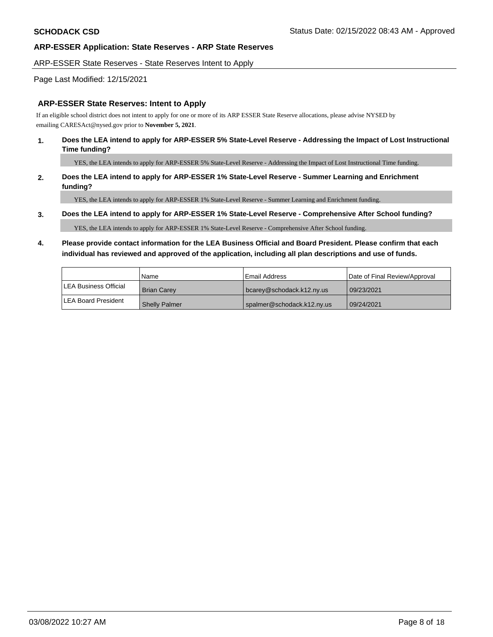### ARP-ESSER State Reserves - State Reserves Intent to Apply

### Page Last Modified: 12/15/2021

#### **ARP-ESSER State Reserves: Intent to Apply**

If an eligible school district does not intent to apply for one or more of its ARP ESSER State Reserve allocations, please advise NYSED by emailing [CARESAct@nysed.gov](mailto:CARESAct@nysed.gov) prior to **November 5, 2021**.

### **1. Does the LEA intend to apply for ARP-ESSER 5% State-Level Reserve - Addressing the Impact of Lost Instructional Time funding?**

YES, the LEA intends to apply for ARP-ESSER 5% State-Level Reserve - Addressing the Impact of Lost Instructional Time funding.

### **2. Does the LEA intend to apply for ARP-ESSER 1% State-Level Reserve - Summer Learning and Enrichment funding?**

YES, the LEA intends to apply for ARP-ESSER 1% State-Level Reserve - Summer Learning and Enrichment funding.

#### **3. Does the LEA intend to apply for ARP-ESSER 1% State-Level Reserve - Comprehensive After School funding?**

YES, the LEA intends to apply for ARP-ESSER 1% State-Level Reserve - Comprehensive After School funding.

# **4. Please provide contact information for the LEA Business Official and Board President. Please confirm that each individual has reviewed and approved of the application, including all plan descriptions and use of funds.**

|                        | <b>Name</b>          | l Email Address             | Date of Final Review/Approval |
|------------------------|----------------------|-----------------------------|-------------------------------|
| ILEA Business Official | <b>Brian Carev</b>   | bcarey@schodack.k12.ny.us   | 09/23/2021                    |
| ILEA Board President   | <b>Shelly Palmer</b> | spalmer@schodack.k12.ny.usl | 09/24/2021                    |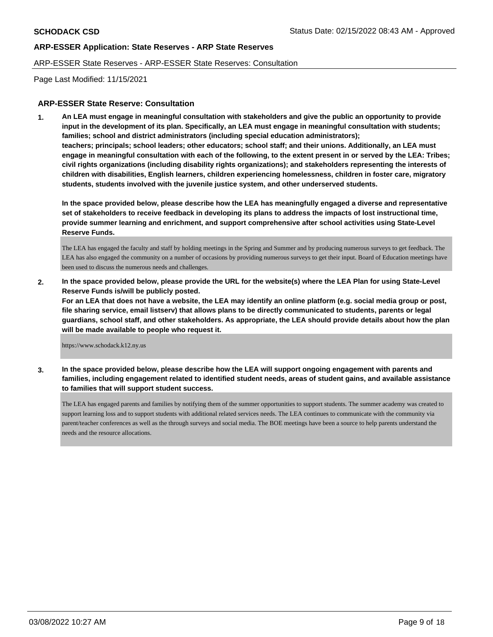#### ARP-ESSER State Reserves - ARP-ESSER State Reserves: Consultation

Page Last Modified: 11/15/2021

### **ARP-ESSER State Reserve: Consultation**

**1. An LEA must engage in meaningful consultation with stakeholders and give the public an opportunity to provide input in the development of its plan. Specifically, an LEA must engage in meaningful consultation with students; families; school and district administrators (including special education administrators); teachers; principals; school leaders; other educators; school staff; and their unions. Additionally, an LEA must engage in meaningful consultation with each of the following, to the extent present in or served by the LEA: Tribes; civil rights organizations (including disability rights organizations); and stakeholders representing the interests of children with disabilities, English learners, children experiencing homelessness, children in foster care, migratory students, students involved with the juvenile justice system, and other underserved students.** 

**In the space provided below, please describe how the LEA has meaningfully engaged a diverse and representative set of stakeholders to receive feedback in developing its plans to address the impacts of lost instructional time, provide summer learning and enrichment, and support comprehensive after school activities using State-Level Reserve Funds.** 

The LEA has engaged the faculty and staff by holding meetings in the Spring and Summer and by producing numerous surveys to get feedback. The LEA has also engaged the community on a number of occasions by providing numerous surveys to get their input. Board of Education meetings have been used to discuss the numerous needs and challenges.

**2. In the space provided below, please provide the URL for the website(s) where the LEA Plan for using State-Level Reserve Funds is/will be publicly posted.** 

**For an LEA that does not have a website, the LEA may identify an online platform (e.g. social media group or post, file sharing service, email listserv) that allows plans to be directly communicated to students, parents or legal guardians, school staff, and other stakeholders. As appropriate, the LEA should provide details about how the plan will be made available to people who request it.** 

<https://www.schodack.k12.ny.us>

**3. In the space provided below, please describe how the LEA will support ongoing engagement with parents and families, including engagement related to identified student needs, areas of student gains, and available assistance to families that will support student success.** 

The LEA has engaged parents and families by notifying them of the summer opportunities to support students. The summer academy was created to support learning loss and to support students with additional related services needs. The LEA continues to communicate with the community via parent/teacher conferences as well as the through surveys and social media. The BOE meetings have been a source to help parents understand the needs and the resource allocations.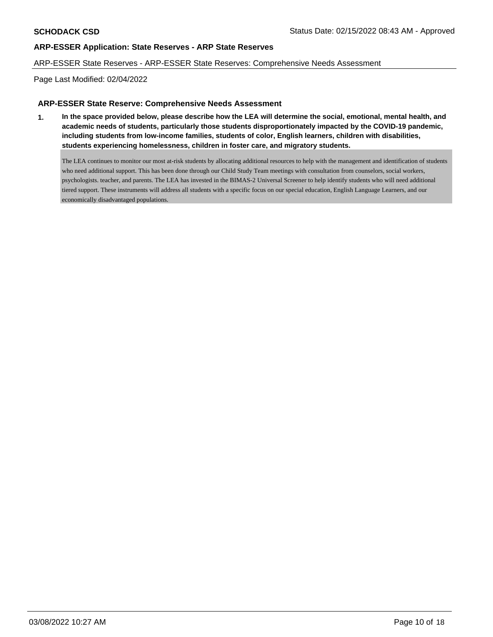### ARP-ESSER State Reserves - ARP-ESSER State Reserves: Comprehensive Needs Assessment

Page Last Modified: 02/04/2022

### **ARP-ESSER State Reserve: Comprehensive Needs Assessment**

**1. In the space provided below, please describe how the LEA will determine the social, emotional, mental health, and academic needs of students, particularly those students disproportionately impacted by the COVID-19 pandemic, including students from low-income families, students of color, English learners, children with disabilities, students experiencing homelessness, children in foster care, and migratory students.** 

The LEA continues to monitor our most at-risk students by allocating additional resources to help with the management and identification of students who need additional support. This has been done through our Child Study Team meetings with consultation from counselors, social workers, psychologists. teacher, and parents. The LEA has invested in the BIMAS-2 Universal Screener to help identify students who will need additional tiered support. These instruments will address all students with a specific focus on our special education, English Language Learners, and our economically disadvantaged populations.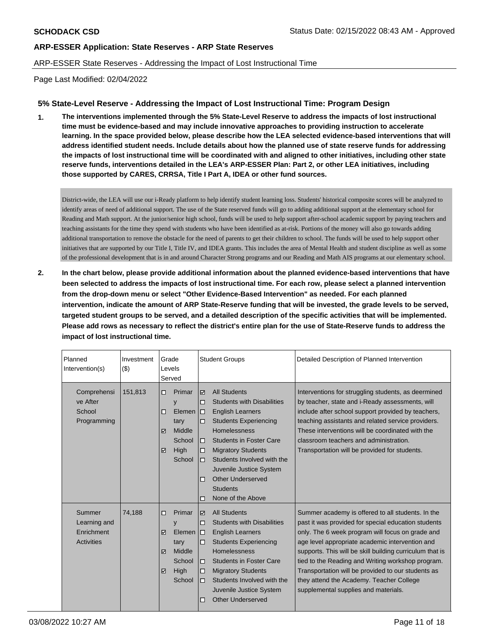### ARP-ESSER State Reserves - Addressing the Impact of Lost Instructional Time

Page Last Modified: 02/04/2022

## **5% State-Level Reserve - Addressing the Impact of Lost Instructional Time: Program Design**

**1. The interventions implemented through the 5% State-Level Reserve to address the impacts of lost instructional time must be evidence-based and may include innovative approaches to providing instruction to accelerate learning. In the space provided below, please describe how the LEA selected evidence-based interventions that will address identified student needs. Include details about how the planned use of state reserve funds for addressing the impacts of lost instructional time will be coordinated with and aligned to other initiatives, including other state reserve funds, interventions detailed in the LEA's ARP-ESSER Plan: Part 2, or other LEA initiatives, including those supported by CARES, CRRSA, Title I Part A, IDEA or other fund sources.** 

District-wide, the LEA will use our i-Ready platform to help identify student learning loss. Students' historical composite scores will be analyzed to identify areas of need of additional support. The use of the State reserved funds will go to adding additional support at the elementary school for Reading and Math support. At the junior/senior high school, funds will be used to help support after-school academic support by paying teachers and teaching assistants for the time they spend with students who have been identified as at-risk. Portions of the money will also go towards adding additional transportation to remove the obstacle for the need of parents to get their children to school. The funds will be used to help support other initiatives that are supported by our Title I, Title IV, and IDEA grants. This includes the area of Mental Health and student discipline as well as some of the professional development that is in and around Character Strong programs and our Reading and Math AIS programs at our elementary school.

**2. In the chart below, please provide additional information about the planned evidence-based interventions that have been selected to address the impacts of lost instructional time. For each row, please select a planned intervention from the drop-down menu or select "Other Evidence-Based Intervention" as needed. For each planned intervention, indicate the amount of ARP State-Reserve funding that will be invested, the grade levels to be served, targeted student groups to be served, and a detailed description of the specific activities that will be implemented. Please add rows as necessary to reflect the district's entire plan for the use of State-Reserve funds to address the impact of lost instructional time.** 

| Planned<br>Intervention(s)                         | Investment<br>$($ \$) | Grade<br>Levels                                                                                               |                                                                        | <b>Student Groups</b>                                                                                                                                                                                                                                                                                                    |                                                                                                                                                                                                                                                                                                                                                                                                                                                                            |  | Detailed Description of Planned Intervention |
|----------------------------------------------------|-----------------------|---------------------------------------------------------------------------------------------------------------|------------------------------------------------------------------------|--------------------------------------------------------------------------------------------------------------------------------------------------------------------------------------------------------------------------------------------------------------------------------------------------------------------------|----------------------------------------------------------------------------------------------------------------------------------------------------------------------------------------------------------------------------------------------------------------------------------------------------------------------------------------------------------------------------------------------------------------------------------------------------------------------------|--|----------------------------------------------|
|                                                    |                       | Served                                                                                                        |                                                                        |                                                                                                                                                                                                                                                                                                                          |                                                                                                                                                                                                                                                                                                                                                                                                                                                                            |  |                                              |
| Comprehensi<br>ve After<br>School<br>Programming   | 151,813               | Primar<br>□<br>y<br>Elemen<br>□<br>tary<br>Middle<br>☑<br>School<br>☑<br>High<br>School                       | $\triangledown$<br>□<br>$\Box$<br>□<br>$\Box$<br>□<br>$\Box$<br>□<br>□ | <b>All Students</b><br><b>Students with Disabilities</b><br><b>English Learners</b><br><b>Students Experiencing</b><br>Homelessness<br><b>Students in Foster Care</b><br><b>Migratory Students</b><br>Students Involved with the<br>Juvenile Justice System<br>Other Underserved<br><b>Students</b><br>None of the Above | Interventions for struggling students, as deermined<br>by teacher, state and i-Ready assessments, will<br>include after school support provided by teachers,<br>teaching assistants and related service providers.<br>These interventions will be coordinated with the<br>classroom teachers and administration.<br>Transportation will be provided for students.                                                                                                          |  |                                              |
| Summer<br>Learning and<br>Enrichment<br>Activities | 74.188                | Primar<br>◻<br>y<br>Elemen<br>☑<br>tary<br>Middle<br>☑<br>School<br>$\overline{\mathbf{v}}$<br>High<br>School | ☑<br>□<br>$\Box$<br>$\Box$<br>$\Box$<br>□<br>$\Box$<br>□               | <b>All Students</b><br><b>Students with Disabilities</b><br><b>English Learners</b><br><b>Students Experiencing</b><br>Homelessness<br><b>Students in Foster Care</b><br><b>Migratory Students</b><br>Students Involved with the<br>Juvenile Justice System<br>Other Underserved                                         | Summer academy is offered to all students. In the<br>past it was provided for special education students<br>only. The 6 week program will focus on grade and<br>age level appropriate academic intervention and<br>supports. This will be skill building curriculum that is<br>tied to the Reading and Writing workshop program.<br>Transportation will be provided to our students as<br>they attend the Academy. Teacher College<br>supplemental supplies and materials. |  |                                              |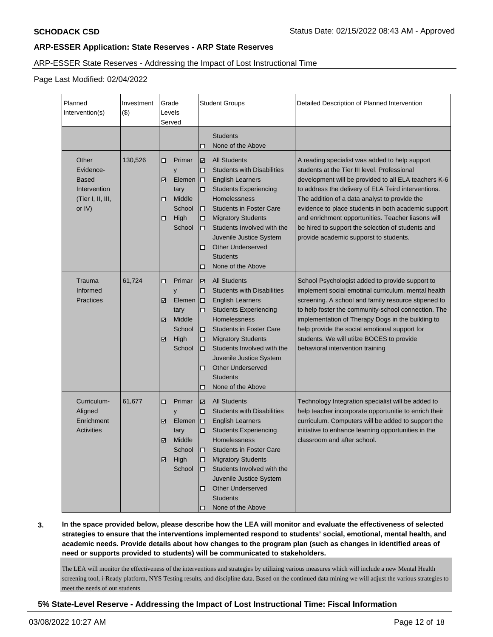### ARP-ESSER State Reserves - Addressing the Impact of Lost Instructional Time

Page Last Modified: 02/04/2022

| Planned<br>Intervention(s)                                                          | Investment<br>(3) | Grade<br>Levels<br>Served                                                                    | <b>Student Groups</b>                                                                                                                                                                                                                                                                                                                                                                                             | Detailed Description of Planned Intervention                                                                                                                                                                                                                                                                                                                                                                                                                               |
|-------------------------------------------------------------------------------------|-------------------|----------------------------------------------------------------------------------------------|-------------------------------------------------------------------------------------------------------------------------------------------------------------------------------------------------------------------------------------------------------------------------------------------------------------------------------------------------------------------------------------------------------------------|----------------------------------------------------------------------------------------------------------------------------------------------------------------------------------------------------------------------------------------------------------------------------------------------------------------------------------------------------------------------------------------------------------------------------------------------------------------------------|
|                                                                                     |                   |                                                                                              | <b>Students</b><br>None of the Above<br>□                                                                                                                                                                                                                                                                                                                                                                         |                                                                                                                                                                                                                                                                                                                                                                                                                                                                            |
| Other<br>Evidence-<br><b>Based</b><br>Intervention<br>(Tier I, II, III,<br>or $IV)$ | 130,526           | Primar<br>□<br>y<br>Elemen<br>☑<br>tary<br>Middle<br>о<br>School<br>High<br>$\Box$<br>School | ☑<br><b>All Students</b><br>$\Box$<br><b>Students with Disabilities</b><br>$\Box$<br><b>English Learners</b><br>□<br><b>Students Experiencing</b><br><b>Homelessness</b><br>$\Box$<br><b>Students in Foster Care</b><br>$\Box$<br><b>Migratory Students</b><br>Students Involved with the<br>□<br>Juvenile Justice System<br><b>Other Underserved</b><br>□<br><b>Students</b><br>None of the Above<br>◻           | A reading specialist was added to help support<br>students at the Tier III level. Professional<br>development will be provided to all ELA teachers K-6<br>to address the delivery of ELA Teird interventions.<br>The addition of a data analyst to provide the<br>evidence to place students in both academic support<br>and enrichment opportunities. Teacher liasons will<br>be hired to support the selection of students and<br>provide academic supporst to students. |
| Trauma<br>Informed<br><b>Practices</b>                                              | 61,724            | □<br>Primar<br>y<br>Elemen<br>☑<br>tary<br>Middle<br>M<br>School<br>High<br>☑<br>School      | $\overline{\mathbf{v}}$<br><b>All Students</b><br><b>Students with Disabilities</b><br>□<br>$\Box$<br><b>English Learners</b><br>◻<br><b>Students Experiencing</b><br>Homelessness<br>$\Box$<br><b>Students in Foster Care</b><br><b>Migratory Students</b><br>□<br>Students Involved with the<br>$\Box$<br>Juvenile Justice System<br><b>Other Underserved</b><br>◻<br><b>Students</b><br>None of the Above<br>◻ | School Psychologist added to provide support to<br>implement social emotinal curriculum, mental health<br>screening. A school and family resource stipened to<br>to help foster the community-school connection. The<br>implementation of Therapy Dogs in the building to<br>help provide the social emotional support for<br>students. We will utilze BOCES to provide<br>behavioral intervention training                                                                |
| Curriculum-<br>Aligned<br>Enrichment<br><b>Activities</b>                           | 61,677            | □<br>Primar<br>y<br>☑<br>Elemen<br>tary<br>Middle<br>M<br>School<br>High<br>☑<br>School      | ☑<br><b>All Students</b><br><b>Students with Disabilities</b><br>□<br>$\Box$<br><b>English Learners</b><br><b>Students Experiencing</b><br>□<br><b>Homelessness</b><br><b>Students in Foster Care</b><br>$\Box$<br><b>Migratory Students</b><br>□<br>Students Involved with the<br>□<br>Juvenile Justice System<br><b>Other Underserved</b><br>□<br><b>Students</b><br>None of the Above<br>□                     | Technology Integration specialist will be added to<br>help teacher incorporate opportunitie to enrich their<br>curriculum. Computers will be added to support the<br>initiative to enhance learning opportunities in the<br>classroom and after school.                                                                                                                                                                                                                    |

**3. In the space provided below, please describe how the LEA will monitor and evaluate the effectiveness of selected strategies to ensure that the interventions implemented respond to students' social, emotional, mental health, and academic needs. Provide details about how changes to the program plan (such as changes in identified areas of need or supports provided to students) will be communicated to stakeholders.** 

The LEA will monitor the effectiveness of the interventions and strategies by utilizing various measures which will include a new Mental Health screening tool, i-Ready platform, NYS Testing results, and discipline data. Based on the continued data mining we will adjust the various strategies to meet the needs of our students

**5% State-Level Reserve - Addressing the Impact of Lost Instructional Time: Fiscal Information**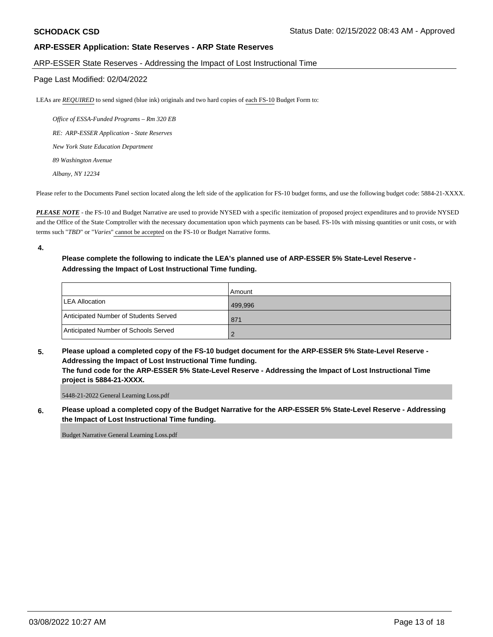#### ARP-ESSER State Reserves - Addressing the Impact of Lost Instructional Time

### Page Last Modified: 02/04/2022

LEAs are *REQUIRED* to send signed (blue ink) originals and two hard copies of each FS-10 Budget Form to:

 *Office of ESSA-Funded Programs – Rm 320 EB RE: ARP-ESSER Application - State Reserves New York State Education Department 89 Washington Avenue Albany, NY 12234* 

Please refer to the Documents Panel section located along the left side of the application for FS-10 budget forms, and use the following budget code: 5884-21-XXXX.

*PLEASE NOTE* - the FS-10 and Budget Narrative are used to provide NYSED with a specific itemization of proposed project expenditures and to provide NYSED and the Office of the State Comptroller with the necessary documentation upon which payments can be based. FS-10s with missing quantities or unit costs, or with terms such "*TBD*" or "*Varies*" cannot be accepted on the FS-10 or Budget Narrative forms.

**4.** 

### **Please complete the following to indicate the LEA's planned use of ARP-ESSER 5% State-Level Reserve - Addressing the Impact of Lost Instructional Time funding.**

|                                       | l Amount |
|---------------------------------------|----------|
| <b>LEA Allocation</b>                 | 499.996  |
| Anticipated Number of Students Served | 871      |
| Anticipated Number of Schools Served  |          |

# **5. Please upload a completed copy of the FS-10 budget document for the ARP-ESSER 5% State-Level Reserve - Addressing the Impact of Lost Instructional Time funding.**

**The fund code for the ARP-ESSER 5% State-Level Reserve - Addressing the Impact of Lost Instructional Time project is 5884-21-XXXX.** 

5448-21-2022 General Learning Loss.pdf

**6. Please upload a completed copy of the Budget Narrative for the ARP-ESSER 5% State-Level Reserve - Addressing the Impact of Lost Instructional Time funding.** 

Budget Narrative General Learning Loss.pdf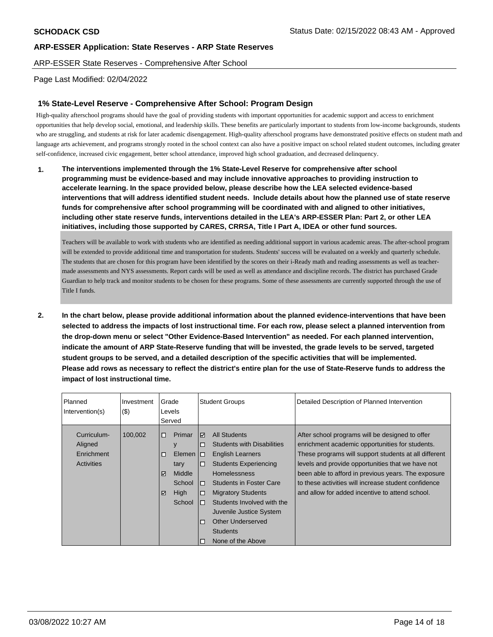ARP-ESSER State Reserves - Comprehensive After School

### Page Last Modified: 02/04/2022

### **1% State-Level Reserve - Comprehensive After School: Program Design**

High-quality afterschool programs should have the goal of providing students with important opportunities for academic support and access to enrichment opportunities that help develop social, emotional, and leadership skills. These benefits are particularly important to students from low-income backgrounds, students who are struggling, and students at risk for later academic disengagement. High-quality afterschool programs have demonstrated positive effects on student math and language arts achievement, and programs strongly rooted in the school context can also have a positive impact on school related student outcomes, including greater self-confidence, increased civic engagement, better school attendance, improved high school graduation, and decreased delinquency.

**1. The interventions implemented through the 1% State-Level Reserve for comprehensive after school programming must be evidence-based and may include innovative approaches to providing instruction to accelerate learning. In the space provided below, please describe how the LEA selected evidence-based interventions that will address identified student needs. Include details about how the planned use of state reserve funds for comprehensive after school programming will be coordinated with and aligned to other initiatives, including other state reserve funds, interventions detailed in the LEA's ARP-ESSER Plan: Part 2, or other LEA initiatives, including those supported by CARES, CRRSA, Title I Part A, IDEA or other fund sources.** 

Teachers will be available to work with students who are identified as needing additional support in various academic areas. The after-school program will be extended to provide additional time and transportation for students. Students' success will be evaluated on a weekly and quarterly schedule. The students that are chosen for this program have been identified by the scores on their i-Ready math and reading assessments as well as teachermade assessments and NYS assessments. Report cards will be used as well as attendance and discipline records. The district has purchased Grade Guardian to help track and monitor students to be chosen for these programs. Some of these assessments are currently supported through the use of Title I funds.

**2. In the chart below, please provide additional information about the planned evidence-interventions that have been selected to address the impacts of lost instructional time. For each row, please select a planned intervention from the drop-down menu or select "Other Evidence-Based Intervention" as needed. For each planned intervention, indicate the amount of ARP State-Reserve funding that will be invested, the grade levels to be served, targeted student groups to be served, and a detailed description of the specific activities that will be implemented. Please add rows as necessary to reflect the district's entire plan for the use of State-Reserve funds to address the impact of lost instructional time.** 

| l Planned<br>Intervention(s)                       | Investment<br>$($ \$) | Grade<br>Levels<br>Served |                                                                       |                                                          | <b>Student Groups</b>                                                                                                                                                                                                                                                                                                           | Detailed Description of Planned Intervention                                                                                                                                                                                                                                                                                                                                       |
|----------------------------------------------------|-----------------------|---------------------------|-----------------------------------------------------------------------|----------------------------------------------------------|---------------------------------------------------------------------------------------------------------------------------------------------------------------------------------------------------------------------------------------------------------------------------------------------------------------------------------|------------------------------------------------------------------------------------------------------------------------------------------------------------------------------------------------------------------------------------------------------------------------------------------------------------------------------------------------------------------------------------|
| Curriculum-<br>Aligned<br>Enrichment<br>Activities | 100,002               | □<br>◻<br>罓<br>☑          | Primar<br>y<br>Elemen  <br>tary<br>Middle<br>School<br>High<br>School | 罓<br>п<br>□<br>$\Box$<br>$\Box$<br>$\Box$<br>п<br>п<br>п | All Students<br><b>Students with Disabilities</b><br><b>English Learners</b><br><b>Students Experiencing</b><br><b>Homelessness</b><br><b>Students in Foster Care</b><br><b>Migratory Students</b><br>Students Involved with the<br>Juvenile Justice System<br><b>Other Underserved</b><br><b>Students</b><br>None of the Above | After school programs will be designed to offer<br>enrichment academic opportunities for students.<br>These programs will support students at all different<br>levels and provide opportunities that we have not<br>been able to afford in previous years. The exposure<br>to these activities will increase student confidence<br>and allow for added incentive to attend school. |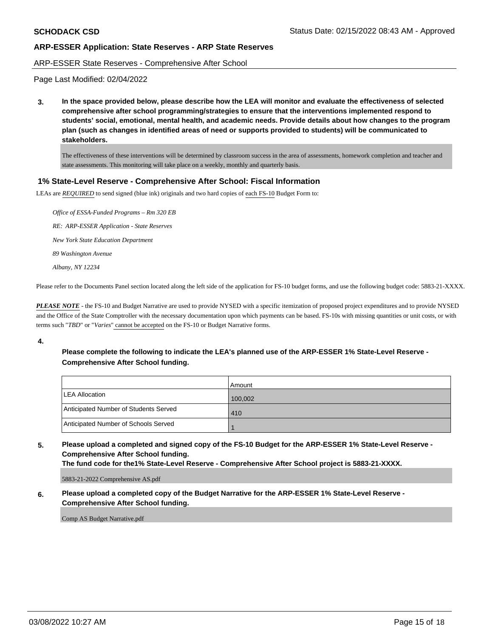#### ARP-ESSER State Reserves - Comprehensive After School

Page Last Modified: 02/04/2022

**3. In the space provided below, please describe how the LEA will monitor and evaluate the effectiveness of selected comprehensive after school programming/strategies to ensure that the interventions implemented respond to students' social, emotional, mental health, and academic needs. Provide details about how changes to the program plan (such as changes in identified areas of need or supports provided to students) will be communicated to stakeholders.** 

The effectiveness of these interventions will be determined by classroom success in the area of assessments, homework completion and teacher and state assessments. This monitoring will take place on a weekly, monthly and quarterly basis.

### **1% State-Level Reserve - Comprehensive After School: Fiscal Information**

LEAs are *REQUIRED* to send signed (blue ink) originals and two hard copies of each FS-10 Budget Form to:

 *Office of ESSA-Funded Programs – Rm 320 EB RE: ARP-ESSER Application - State Reserves New York State Education Department 89 Washington Avenue Albany, NY 12234* 

Please refer to the Documents Panel section located along the left side of the application for FS-10 budget forms, and use the following budget code: 5883-21-XXXX.

*PLEASE NOTE* - the FS-10 and Budget Narrative are used to provide NYSED with a specific itemization of proposed project expenditures and to provide NYSED and the Office of the State Comptroller with the necessary documentation upon which payments can be based. FS-10s with missing quantities or unit costs, or with terms such "*TBD*" or "*Varies*" cannot be accepted on the FS-10 or Budget Narrative forms.

**4.** 

# **Please complete the following to indicate the LEA's planned use of the ARP-ESSER 1% State-Level Reserve - Comprehensive After School funding.**

|                                       | l Amount i |
|---------------------------------------|------------|
| <b>LEA Allocation</b>                 | 100,002    |
| Anticipated Number of Students Served | 410        |
| Anticipated Number of Schools Served  |            |

## **5. Please upload a completed and signed copy of the FS-10 Budget for the ARP-ESSER 1% State-Level Reserve - Comprehensive After School funding.**

**The fund code for the1% State-Level Reserve - Comprehensive After School project is 5883-21-XXXX.** 

5883-21-2022 Comprehensive AS.pdf

**6. Please upload a completed copy of the Budget Narrative for the ARP-ESSER 1% State-Level Reserve - Comprehensive After School funding.** 

Comp AS Budget Narrative.pdf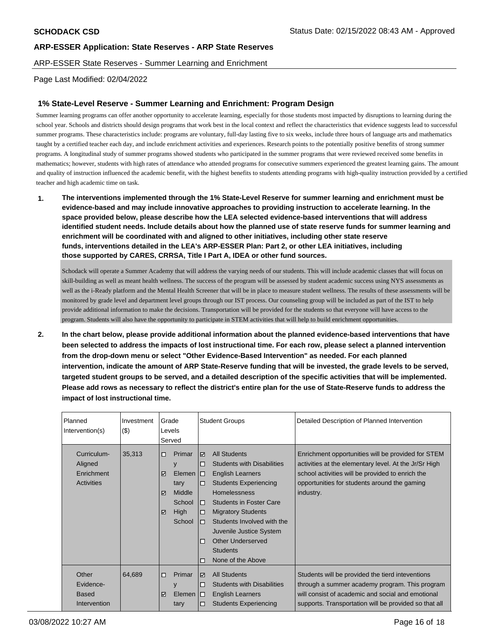ARP-ESSER State Reserves - Summer Learning and Enrichment

### Page Last Modified: 02/04/2022

### **1% State-Level Reserve - Summer Learning and Enrichment: Program Design**

Summer learning programs can offer another opportunity to accelerate learning, especially for those students most impacted by disruptions to learning during the school year. Schools and districts should design programs that work best in the local context and reflect the characteristics that evidence suggests lead to successful summer programs. These characteristics include: programs are voluntary, full-day lasting five to six weeks, include three hours of language arts and mathematics taught by a certified teacher each day, and include enrichment activities and experiences. Research points to the potentially positive benefits of strong summer programs. A longitudinal study of summer programs showed students who participated in the summer programs that were reviewed received some benefits in mathematics; however, students with high rates of attendance who attended programs for consecutive summers experienced the greatest learning gains. The amount and quality of instruction influenced the academic benefit, with the highest benefits to students attending programs with high-quality instruction provided by a certified teacher and high academic time on task.

**1. The interventions implemented through the 1% State-Level Reserve for summer learning and enrichment must be evidence-based and may include innovative approaches to providing instruction to accelerate learning. In the space provided below, please describe how the LEA selected evidence-based interventions that will address identified student needs. Include details about how the planned use of state reserve funds for summer learning and enrichment will be coordinated with and aligned to other initiatives, including other state reserve funds, interventions detailed in the LEA's ARP-ESSER Plan: Part 2, or other LEA initiatives, including those supported by CARES, CRRSA, Title I Part A, IDEA or other fund sources.** 

Schodack will operate a Summer Academy that will address the varying needs of our students. This will include academic classes that will focus on skill-building as well as meant health wellness. The success of the program will be assessed by student academic success using NYS assessments as well as the i-Ready platform and the Mental Health Screener that will be in place to measure student wellness. The results of these assessments will be monitored by grade level and department level groups through our IST process. Our counseling group will be included as part of the IST to help provide additional information to make the decisions. Transportation will be provided for the students so that everyone will have access to the program. Students will also have the opportunity to participate in STEM activities that will help to build enrichment opportunities.

**2. In the chart below, please provide additional information about the planned evidence-based interventions that have been selected to address the impacts of lost instructional time. For each row, please select a planned intervention from the drop-down menu or select "Other Evidence-Based Intervention" as needed. For each planned intervention, indicate the amount of ARP State-Reserve funding that will be invested, the grade levels to be served, targeted student groups to be served, and a detailed description of the specific activities that will be implemented. Please add rows as necessary to reflect the district's entire plan for the use of State-Reserve funds to address the impact of lost instructional time.** 

| Planned<br>Intervention(s)                         | Investment<br>(3) | <b>Student Groups</b><br>Grade<br>Levels<br>Served                                                                |                                                                                                                                                                                                                                                                                                                                                                                        | Detailed Description of Planned Intervention                                                                                                                                                                                 |
|----------------------------------------------------|-------------------|-------------------------------------------------------------------------------------------------------------------|----------------------------------------------------------------------------------------------------------------------------------------------------------------------------------------------------------------------------------------------------------------------------------------------------------------------------------------------------------------------------------------|------------------------------------------------------------------------------------------------------------------------------------------------------------------------------------------------------------------------------|
| Curriculum-<br>Aligned<br>Enrichment<br>Activities | 35,313            | $\Box$<br>Primar<br>y<br>☑<br>Elemen<br>tary<br><b>Middle</b><br>$\triangledown$<br>School<br>☑<br>High<br>School | <b>All Students</b><br>☑<br><b>Students with Disabilities</b><br>◻<br><b>English Learners</b><br>$\Box$<br><b>Students Experiencing</b><br>□<br><b>Homelessness</b><br><b>Students in Foster Care</b><br>$\Box$<br><b>Migratory Students</b><br>□<br>Students Involved with the<br>п<br>Juvenile Justice System<br>Other Underserved<br>п<br><b>Students</b><br>None of the Above<br>◻ | Enrichment opportunities will be provided for STEM<br>activities at the elementary level. At the Jr/Sr High<br>school activities will be provided to enrich the<br>opportunities for students around the gaming<br>industry. |
| Other<br>Evidence-<br><b>Based</b><br>Intervention | 64,689            | Primar<br>$\Box$<br>y<br>Elemen<br>$\blacktriangledown$<br>tary                                                   | <b>All Students</b><br>$\triangledown$<br><b>Students with Disabilities</b><br>п<br><b>English Learners</b><br>□<br><b>Students Experiencing</b><br>◻                                                                                                                                                                                                                                  | Students will be provided the tierd inteventions<br>through a summer academy program. This program<br>will consist of academic and social and emotional<br>supports. Transportation will be provided so that all             |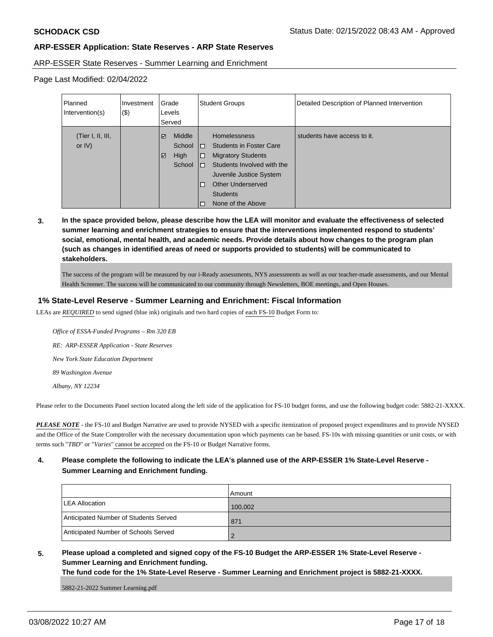#### ARP-ESSER State Reserves - Summer Learning and Enrichment

Page Last Modified: 02/04/2022

| Planned<br>Intervention(s)    | Investment<br>$(\$)$ | Grade<br>Levels<br>Served |                                    |                                                | <b>Student Groups</b>                                                                                                                                                                                    | Detailed Description of Planned Intervention |
|-------------------------------|----------------------|---------------------------|------------------------------------|------------------------------------------------|----------------------------------------------------------------------------------------------------------------------------------------------------------------------------------------------------------|----------------------------------------------|
| (Tier I, II, III,<br>or $IV)$ |                      | ☑<br>☑                    | Middle<br>School<br>High<br>School | $\Box$<br>$\Box$<br>$\Box$<br>$\Box$<br>$\Box$ | Homelessness<br><b>Students in Foster Care</b><br><b>Migratory Students</b><br>Students Involved with the<br>Juvenile Justice System<br><b>Other Underserved</b><br><b>Students</b><br>None of the Above | students have access to it.                  |

**3. In the space provided below, please describe how the LEA will monitor and evaluate the effectiveness of selected summer learning and enrichment strategies to ensure that the interventions implemented respond to students' social, emotional, mental health, and academic needs. Provide details about how changes to the program plan (such as changes in identified areas of need or supports provided to students) will be communicated to stakeholders.** 

The success of the program will be measured by our i-Ready assessments, NYS assessments as well as our teacher-made assessments, and our Mental Health Screener. The success will be communicated to our community through Newsletters, BOE meetings, and Open Houses.

### **1% State-Level Reserve - Summer Learning and Enrichment: Fiscal Information**

LEAs are *REQUIRED* to send signed (blue ink) originals and two hard copies of each FS-10 Budget Form to:

 *Office of ESSA-Funded Programs – Rm 320 EB RE: ARP-ESSER Application - State Reserves New York State Education Department 89 Washington Avenue Albany, NY 12234* 

Please refer to the Documents Panel section located along the left side of the application for FS-10 budget forms, and use the following budget code: 5882-21-XXXX.

*PLEASE NOTE* - the FS-10 and Budget Narrative are used to provide NYSED with a specific itemization of proposed project expenditures and to provide NYSED and the Office of the State Comptroller with the necessary documentation upon which payments can be based. FS-10s with missing quantities or unit costs, or with terms such "*TBD*" or "*Varies*" cannot be accepted on the FS-10 or Budget Narrative forms.

## **4. Please complete the following to indicate the LEA's planned use of the ARP-ESSER 1% State-Level Reserve - Summer Learning and Enrichment funding.**

|                                       | Amount  |
|---------------------------------------|---------|
| <b>LEA Allocation</b>                 | 100,002 |
| Anticipated Number of Students Served | 871     |
| Anticipated Number of Schools Served  |         |

## **5. Please upload a completed and signed copy of the FS-10 Budget the ARP-ESSER 1% State-Level Reserve - Summer Learning and Enrichment funding.**

**The fund code for the 1% State-Level Reserve - Summer Learning and Enrichment project is 5882-21-XXXX.** 

5882-21-2022 Summer Learning.pdf